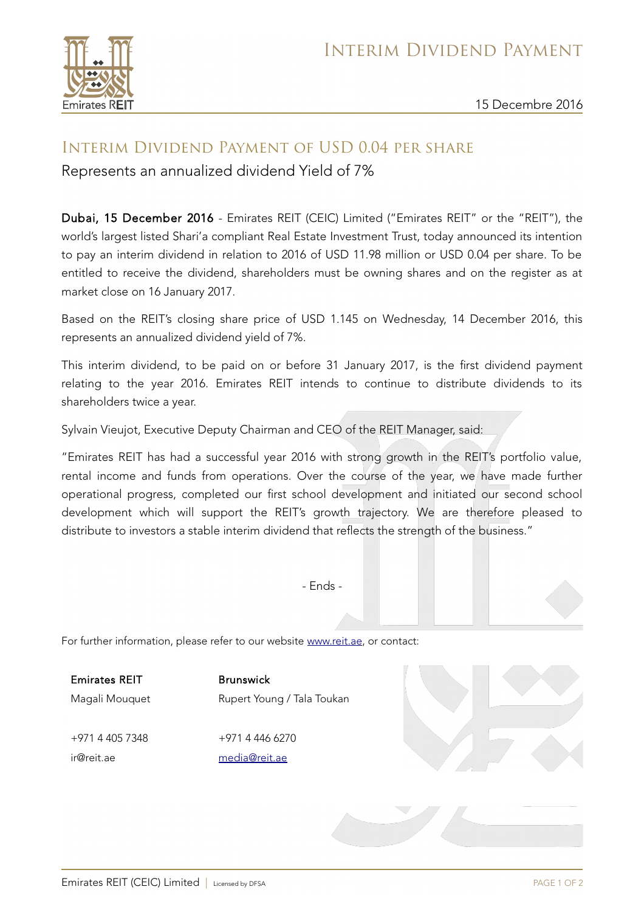

15 Decembre 2016

## Interim Dividend Payment of USD 0.04 per share

Represents an annualized dividend Yield of 7%

Dubai, 15 December 2016 - Emirates REIT (CEIC) Limited ("Emirates REIT" or the "REIT"), the world's largest listed Shari'a compliant Real Estate Investment Trust, today announced its intention to pay an interim dividend in relation to 2016 of USD 11.98 million or USD 0.04 per share. To be entitled to receive the dividend, shareholders must be owning shares and on the register as at market close on 16 January 2017.

Based on the REIT's closing share price of USD 1.145 on Wednesday, 14 December 2016, this represents an annualized dividend yield of 7%.

This interim dividend, to be paid on or before 31 January 2017, is the first dividend payment relating to the year 2016. Emirates REIT intends to continue to distribute dividends to its shareholders twice a year.

Sylvain Vieujot, Executive Deputy Chairman and CEO of the REIT Manager, said:

"Emirates REIT has had a successful year 2016 with strong growth in the REIT's portfolio value, rental income and funds from operations. Over the course of the year, we have made further operational progress, completed our first school development and initiated our second school development which will support the REIT's growth trajectory. We are therefore pleased to distribute to investors a stable interim dividend that reflects the strength of the business."

- Ends -

For further information, please refer to our website [www.reit.ae,](http://www.reit.ae/) or contact:

Emirates REIT Magali Mouquet Brunswick Rupert Young / Tala Toukan

+971 4 405 7348 ir@reit.ae

+971 4 446 6270 [media@reit.ae](mailto:media@reit.ae)